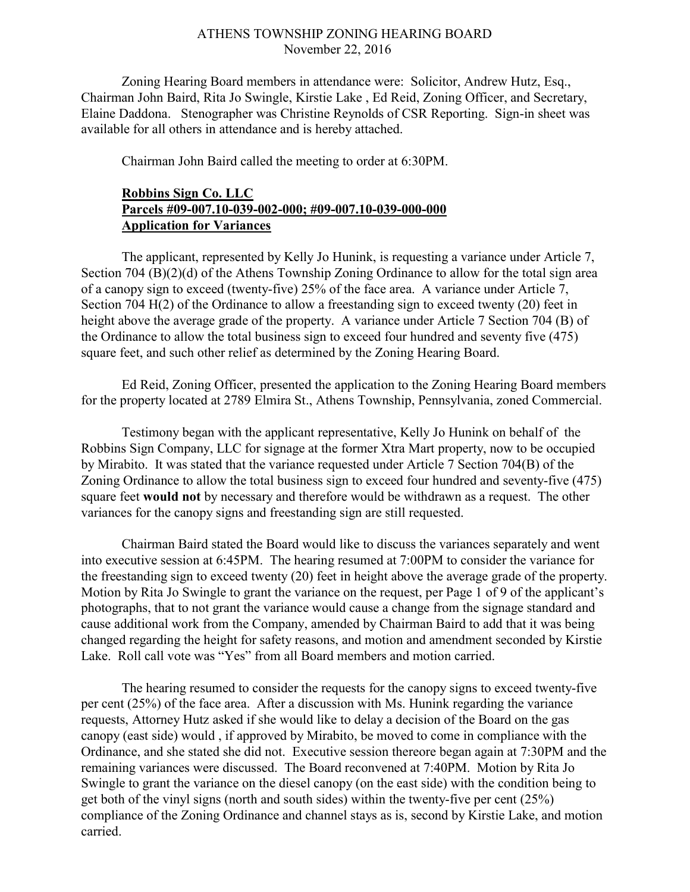## ATHENS TOWNSHIP ZONING HEARING BOARD November 22, 2016

Zoning Hearing Board members in attendance were: Solicitor, Andrew Hutz, Esq., Chairman John Baird, Rita Jo Swingle, Kirstie Lake , Ed Reid, Zoning Officer, and Secretary, Elaine Daddona. Stenographer was Christine Reynolds of CSR Reporting. Sign-in sheet was available for all others in attendance and is hereby attached.

Chairman John Baird called the meeting to order at 6:30PM.

## Robbins Sign Co. LLC Parcels #09-007.10-039-002-000; #09-007.10-039-000-000 Application for Variances

 The applicant, represented by Kelly Jo Hunink, is requesting a variance under Article 7, Section 704 (B)(2)(d) of the Athens Township Zoning Ordinance to allow for the total sign area of a canopy sign to exceed (twenty-five) 25% of the face area. A variance under Article 7, Section 704 H(2) of the Ordinance to allow a freestanding sign to exceed twenty (20) feet in height above the average grade of the property. A variance under Article 7 Section 704 (B) of the Ordinance to allow the total business sign to exceed four hundred and seventy five (475) square feet, and such other relief as determined by the Zoning Hearing Board.

 Ed Reid, Zoning Officer, presented the application to the Zoning Hearing Board members for the property located at 2789 Elmira St., Athens Township, Pennsylvania, zoned Commercial.

Testimony began with the applicant representative, Kelly Jo Hunink on behalf of the Robbins Sign Company, LLC for signage at the former Xtra Mart property, now to be occupied by Mirabito. It was stated that the variance requested under Article 7 Section 704(B) of the Zoning Ordinance to allow the total business sign to exceed four hundred and seventy-five (475) square feet would not by necessary and therefore would be withdrawn as a request. The other variances for the canopy signs and freestanding sign are still requested.

Chairman Baird stated the Board would like to discuss the variances separately and went into executive session at 6:45PM. The hearing resumed at 7:00PM to consider the variance for the freestanding sign to exceed twenty (20) feet in height above the average grade of the property. Motion by Rita Jo Swingle to grant the variance on the request, per Page 1 of 9 of the applicant's photographs, that to not grant the variance would cause a change from the signage standard and cause additional work from the Company, amended by Chairman Baird to add that it was being changed regarding the height for safety reasons, and motion and amendment seconded by Kirstie Lake. Roll call vote was "Yes" from all Board members and motion carried.

The hearing resumed to consider the requests for the canopy signs to exceed twenty-five per cent (25%) of the face area. After a discussion with Ms. Hunink regarding the variance requests, Attorney Hutz asked if she would like to delay a decision of the Board on the gas canopy (east side) would , if approved by Mirabito, be moved to come in compliance with the Ordinance, and she stated she did not. Executive session thereore began again at 7:30PM and the remaining variances were discussed. The Board reconvened at 7:40PM. Motion by Rita Jo Swingle to grant the variance on the diesel canopy (on the east side) with the condition being to get both of the vinyl signs (north and south sides) within the twenty-five per cent (25%) compliance of the Zoning Ordinance and channel stays as is, second by Kirstie Lake, and motion carried.